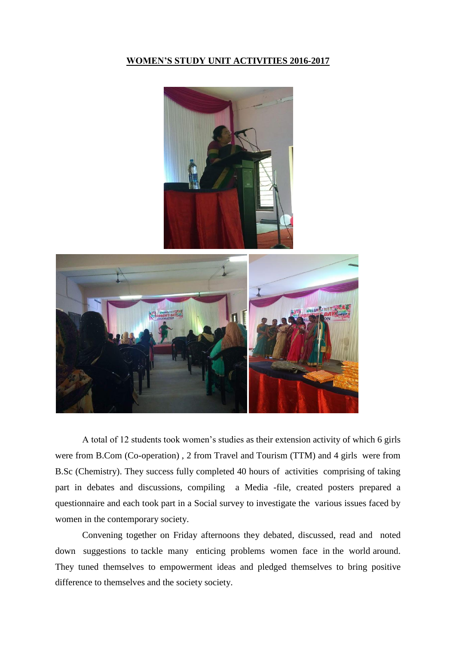## **WOMEN'S STUDY UNIT ACTIVITIES 2016-2017**



 A total of 12 students took women's studies as their extension activity of which 6 girls were from B.Com (Co-operation) , 2 from Travel and Tourism (TTM) and 4 girls were from B.Sc (Chemistry). They success fully completed 40 hours of activities comprising of taking part in debates and discussions, compiling a Media -file, created posters prepared a questionnaire and each took part in a Social survey to investigate the various issues faced by women in the contemporary society.

 Convening together on Friday afternoons they debated, discussed, read and noted down suggestions to tackle many enticing problems women face in the world around. They tuned themselves to empowerment ideas and pledged themselves to bring positive difference to themselves and the society society.